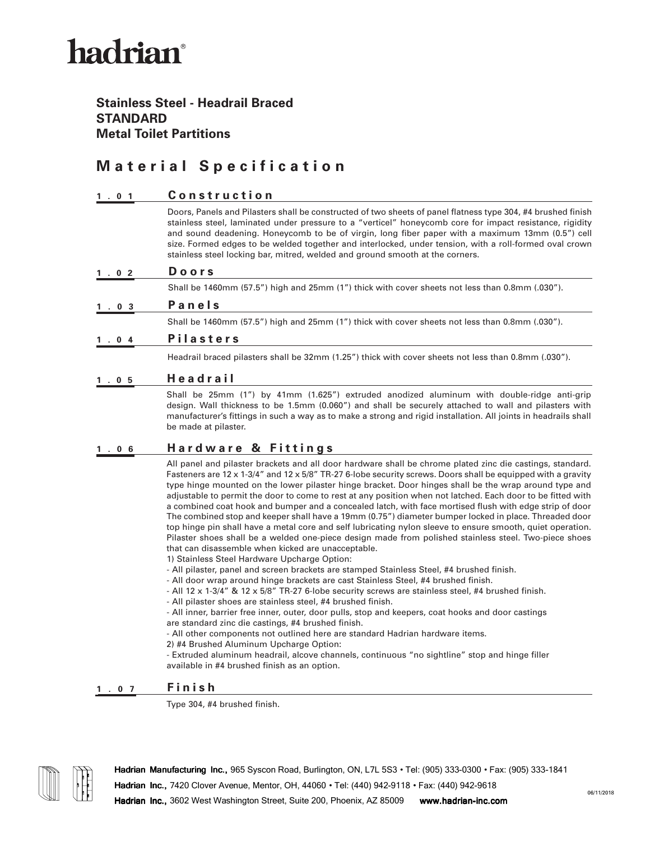# hadrian®

### **Stainless Steel - Headrail Braced STANDARD Metal Toilet Partitions**

### **Material Specification**

#### **1.01 Construction**

Doors, Panels and Pilasters shall be constructed of two sheets of panel flatness type 304, #4 brushed finish stainless steel, laminated under pressure to a "verticel" honeycomb core for impact resistance, rigidity and sound deadening. Honeycomb to be of virgin, long fiber paper with a maximum 13mm (0.5") cell size. Formed edges to be welded together and interlocked, under tension, with a roll-formed oval crown stainless steel locking bar, mitred, welded and ground smooth at the corners.

#### **1.02 Doors**

Shall be 1460mm (57.5") high and 25mm (1") thick with cover sheets not less than 0.8mm (.030").

#### **1.03 Panels**

Shall be 1460mm (57.5") high and 25mm (1") thick with cover sheets not less than 0.8mm (.030").

#### **1.04 Pilasters**

Headrail braced pilasters shall be 32mm (1.25") thick with cover sheets not less than 0.8mm (.030").

#### **1.05 Headrail**

Shall be 25mm (1") by 41mm (1.625") extruded anodized aluminum with double-ridge anti-grip design. Wall thickness to be 1.5mm (0.060") and shall be securely attached to wall and pilasters with manufacturer's fittings in such a way as to make a strong and rigid installation. All joints in headrails shall be made at pilaster.

#### **1.06 Hardware & Fittings**

All panel and pilaster brackets and all door hardware shall be chrome plated zinc die castings, standard. Fasteners are 12 x 1-3/4" and 12 x 5/8" TR-27 6-lobe security screws. Doors shall be equipped with a gravity type hinge mounted on the lower pilaster hinge bracket. Door hinges shall be the wrap around type and adjustable to permit the door to come to rest at any position when not latched. Each door to be fitted with a combined coat hook and bumper and a concealed latch, with face mortised flush with edge strip of door The combined stop and keeper shall have a 19mm (0.75") diameter bumper locked in place. Threaded door top hinge pin shall have a metal core and self lubricating nylon sleeve to ensure smooth, quiet operation. Pilaster shoes shall be a welded one-piece design made from polished stainless steel. Two-piece shoes that can disassemble when kicked are unacceptable.

1) Stainless Steel Hardware Upcharge Option:

- All pilaster, panel and screen brackets are stamped Stainless Steel, #4 brushed finish.
- All door wrap around hinge brackets are cast Stainless Steel, #4 brushed finish.
- All 12 x 1-3/4" & 12 x 5/8" TR-27 6-lobe security screws are stainless steel, #4 brushed finish.
- All pilaster shoes are stainless steel, #4 brushed finish.

- All inner, barrier free inner, outer, door pulls, stop and keepers, coat hooks and door castings are standard zinc die castings, #4 brushed finish.

- All other components not outlined here are standard Hadrian hardware items.
- 2) #4 Brushed Aluminum Upcharge Option:

- Extruded aluminum headrail, alcove channels, continuous "no sightline" stop and hinge filler available in #4 brushed finish as an option.

#### **1.07 Finish**

Type 304, #4 brushed finish.



**Hadrian Manufacturing Inc.,** 965 Syscon Road, Burlington, ON, L7L 5S3 • Tel: (905) 333-0300 • Fax: (905) 333-1841 **Hadrian Inc.,** 7420 Clover Avenue, Mentor, OH, 44060 • Tel: (440) 942-9118 • Fax: (440) 942-9618 **Hadrian Inc.,** 3602 West Washington Street, Suite 200, Phoenix, AZ 85009 **www.hadrian-inc.com**